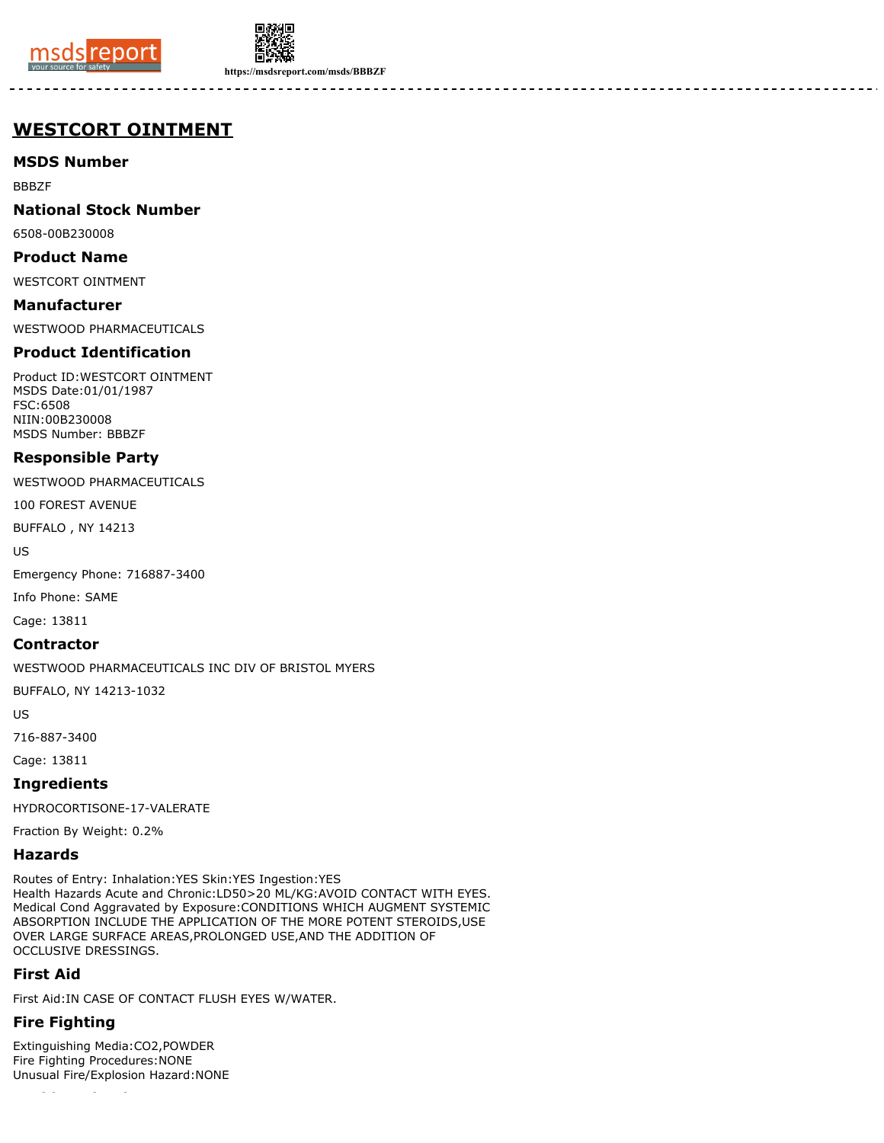



**https://msdsreport.com/msds/BBBZF**

# **WESTCORT OINTMENT**

### **MSDS Number**

BBBZF

### **National Stock Number**

6508-00B230008

#### **Product Name**

WESTCORT OINTMENT

# **Manufacturer**

WESTWOOD PHARMACEUTICALS

### **Product Identification**

Product ID:WESTCORT OINTMENT MSDS Date:01/01/1987 FSC:6508 NIIN:00B230008 MSDS Number: BBBZF

### **Responsible Party**

WESTWOOD PHARMACEUTICALS

100 FOREST AVENUE

BUFFALO , NY 14213

US

Emergency Phone: 716887-3400

Info Phone: SAME

Cage: 13811

### **Contractor**

WESTWOOD PHARMACEUTICALS INC DIV OF BRISTOL MYERS

BUFFALO, NY 14213-1032

US

716-887-3400

Cage: 13811

### **Ingredients**

HYDROCORTISONE-17-VALERATE

Fraction By Weight: 0.2%

#### **Hazards**

Routes of Entry: Inhalation:YES Skin:YES Ingestion:YES Health Hazards Acute and Chronic:LD50>20 ML/KG:AVOID CONTACT WITH EYES. Medical Cond Aggravated by Exposure:CONDITIONS WHICH AUGMENT SYSTEMIC ABSORPTION INCLUDE THE APPLICATION OF THE MORE POTENT STEROIDS,USE OVER LARGE SURFACE AREAS,PROLONGED USE,AND THE ADDITION OF OCCLUSIVE DRESSINGS.

### **First Aid**

First Aid:IN CASE OF CONTACT FLUSH EYES W/WATER.

# **Fire Fighting**

Extinguishing Media:CO2,POWDER Fire Fighting Procedures:NONE Unusual Fire/Explosion Hazard:NONE

**Accidental Release**